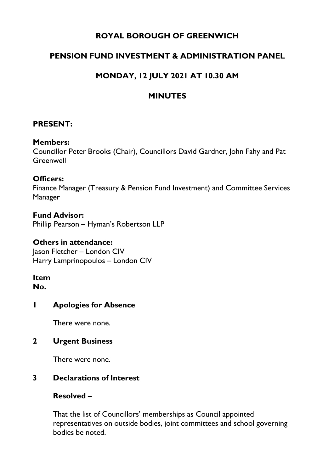## **ROYAL BOROUGH OF GREENWICH**

## **PENSION FUND INVESTMENT & ADMINISTRATION PANEL**

# **MONDAY, 12 JULY 2021 AT 10.30 AM**

## **MINUTES**

## **PRESENT:**

#### **Members:**

Councillor Peter Brooks (Chair), Councillors David Gardner, John Fahy and Pat **Greenwell** 

### **Officers:**

Finance Manager (Treasury & Pension Fund Investment) and Committee Services Manager

### **Fund Advisor:**

Phillip Pearson – Hyman's Robertson LLP

#### **Others in attendance:**

Jason Fletcher – London CIV Harry Lamprinopoulos – London CIV

# **Item**

**No.** 

### **1 Apologies for Absence**

There were none.

### **2 Urgent Business**

There were none.

## **3 Declarations of Interest**

## **Resolved –**

That the list of Councillors' memberships as Council appointed representatives on outside bodies, joint committees and school governing bodies be noted.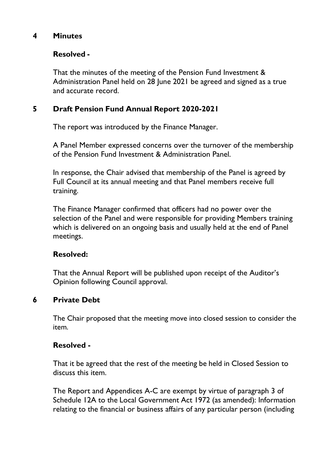### **4 Minutes**

## **Resolved -**

That the minutes of the meeting of the Pension Fund Investment & Administration Panel held on 28 June 2021 be agreed and signed as a true and accurate record.

## **5 Draft [Pension Fund Annual Report 2020-2021](https://committees.royalgreenwich.gov.uk/Document.ashx?czJKcaeAi5tUFL1DTL2UE4zNRBcoShgo=hRgX9sR3IJkLC9ekOxwHvzqfTozwmkm167aM2KsJdbnJ2OHcCGmDfA%3d%3d&rUzwRPf%2bZ3zd4E7Ikn8Lyw%3d%3d=pwRE6AGJFLDNlh225F5QMaQWCtPHwdhUfCZ%2fLUQzgA2uL5jNRG4jdQ%3d%3d&mCTIbCubSFfXsDGW9IXnlg%3d%3d=jUgQCaU3L68%3d&kCx1AnS9%2fpWZQ40DXFvdEw%3d%3d=SiNZFNTpd44%3d&uJovDxwdjMPoYv%2bAJvYtyA%3d%3d=ctNJFf55vVA%3d&FgPlIEJYlotS%2bYGoBi5olA%3d%3d=NHdURQburHA%3d&d9Qjj0ag1Pd993jsyOJqFvmyB7X0CSQK=ctNJFf55vVA%3d&WGewmoAfeNR9xqBux0r1Q8Za60lavYmz=ctNJFf55vVA%3d&WGewmoAfeNQ16B2MHuCpMRKZMwaG1PaO=ctNJFf55vVA%3d)**

The report was introduced by the Finance Manager.

A Panel Member expressed concerns over the turnover of the membership of the Pension Fund Investment & Administration Panel.

In response, the Chair advised that membership of the Panel is agreed by Full Council at its annual meeting and that Panel members receive full training.

The Finance Manager confirmed that officers had no power over the selection of the Panel and were responsible for providing Members training which is delivered on an ongoing basis and usually held at the end of Panel meetings.

## **Resolved:**

That the Annual Report will be published upon receipt of the Auditor's Opinion following Council approval.

## **6 Private Debt**

The Chair proposed that the meeting move into closed session to consider the item.

## **Resolved -**

That it be agreed that the rest of the meeting be held in Closed Session to discuss this item.

The Report and Appendices A-C are exempt by virtue of paragraph 3 of Schedule 12A to the Local Government Act 1972 (as amended): Information relating to the financial or business affairs of any particular person (including